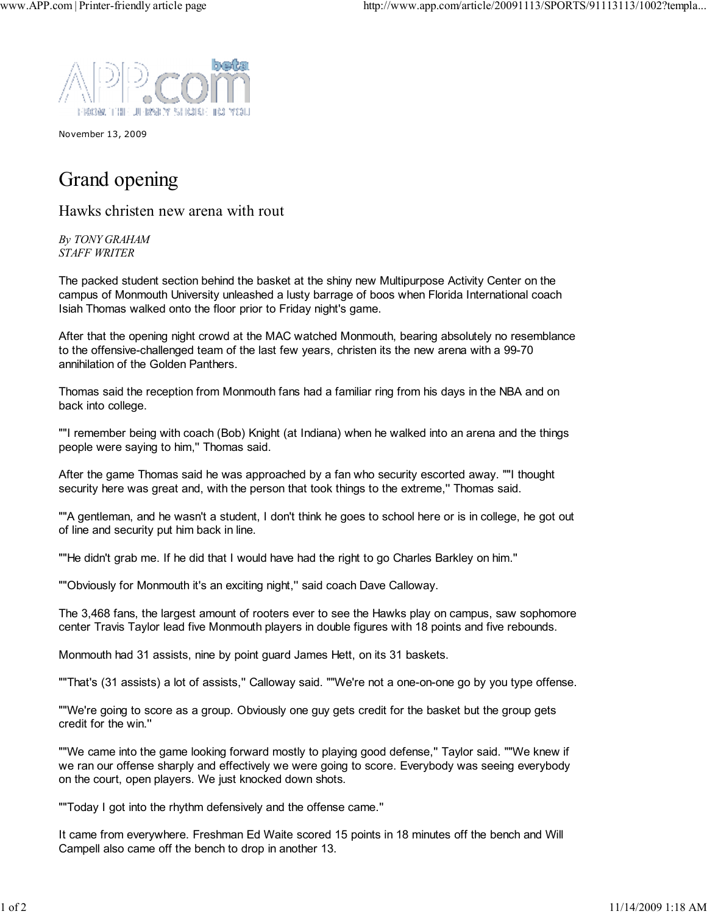

November 13, 2009

## Grand opening

Hawks christen new arena with rout

*By TONY GRAHAM STAFF WRITER*

The packed student section behind the basket at the shiny new Multipurpose Activity Center on the campus of Monmouth University unleashed a lusty barrage of boos when Florida International coach Isiah Thomas walked onto the floor prior to Friday night's game.

After that the opening night crowd at the MAC watched Monmouth, bearing absolutely no resemblance to the offensive-challenged team of the last few years, christen its the new arena with a 99-70 annihilation of the Golden Panthers.

Thomas said the reception from Monmouth fans had a familiar ring from his days in the NBA and on back into college.

""I remember being with coach (Bob) Knight (at Indiana) when he walked into an arena and the things people were saying to him,'' Thomas said.

After the game Thomas said he was approached by a fan who security escorted away. ""I thought security here was great and, with the person that took things to the extreme," Thomas said.

""A gentleman, and he wasn't a student, I don't think he goes to school here or is in college, he got out of line and security put him back in line.

""He didn't grab me. If he did that I would have had the right to go Charles Barkley on him.''

""Obviously for Monmouth it's an exciting night,'' said coach Dave Calloway.

The 3,468 fans, the largest amount of rooters ever to see the Hawks play on campus, saw sophomore center Travis Taylor lead five Monmouth players in double figures with 18 points and five rebounds.

Monmouth had 31 assists, nine by point guard James Hett, on its 31 baskets.

""That's (31 assists) a lot of assists,'' Calloway said. ""We're not a one-on-one go by you type offense.

""We're going to score as a group. Obviously one guy gets credit for the basket but the group gets credit for the win.''

""We came into the game looking forward mostly to playing good defense,'' Taylor said. ""We knew if we ran our offense sharply and effectively we were going to score. Everybody was seeing everybody on the court, open players. We just knocked down shots.

""Today I got into the rhythm defensively and the offense came.''

It came from everywhere. Freshman Ed Waite scored 15 points in 18 minutes off the bench and Will Campell also came off the bench to drop in another 13.